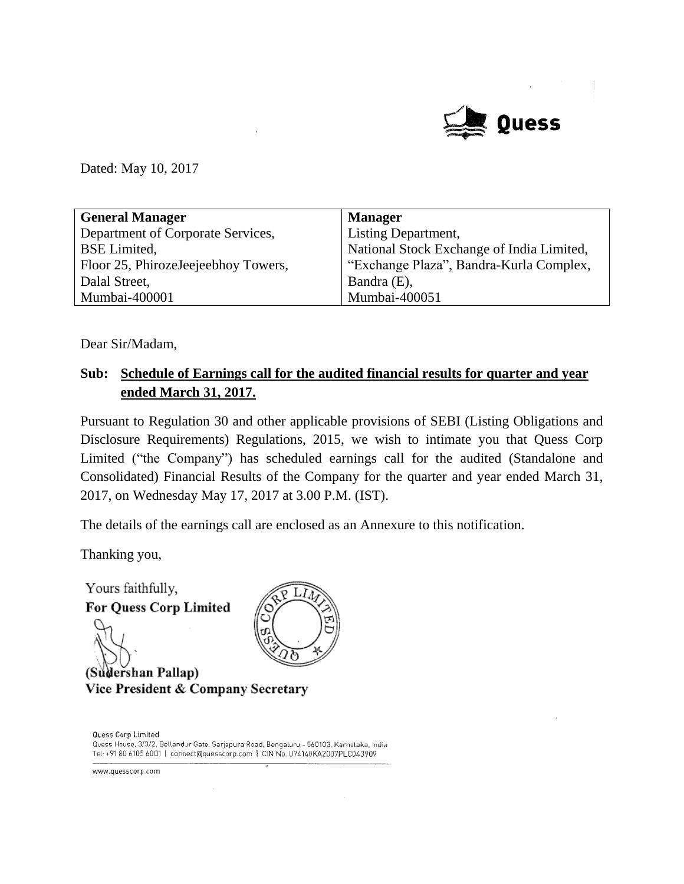

Dated: May 10, 2017

| <b>General Manager</b>              | <b>Manager</b>                            |
|-------------------------------------|-------------------------------------------|
| Department of Corporate Services,   | Listing Department,                       |
| <b>BSE</b> Limited,                 | National Stock Exchange of India Limited, |
| Floor 25, PhirozeJeejeebhoy Towers, | "Exchange Plaza", Bandra-Kurla Complex,   |
| Dalal Street,                       | Bandra (E),                               |
| Mumbai-400001                       | Mumbai-400051                             |

Dear Sir/Madam,

#### **Sub: Schedule of Earnings call for the audited financial results for quarter and year ended March 31, 2017.**

Pursuant to Regulation 30 and other applicable provisions of SEBI (Listing Obligations and Disclosure Requirements) Regulations, 2015, we wish to intimate you that Quess Corp Limited ("the Company") has scheduled earnings call for the audited (Standalone and Consolidated) Financial Results of the Company for the quarter and year ended March 31, 2017, on Wednesday May 17, 2017 at 3.00 P.M. (IST).

The details of the earnings call are enclosed as an Annexure to this notification.

Thanking you,

Yours faithfully, LI **For Quess Corp Limited** (Sudershan Pallap) Vice President & Company Secretary



Quess Corp Limited Quess House, 3/3/2, Bellandur Gate, Sarjapura Road, Bengaluru - 560103, Karnataka, India Tel: +91 80 6105 6001 | connect@quesscorp.com | CIN No. U74140KA2007PLC043909

www.quesscorp.com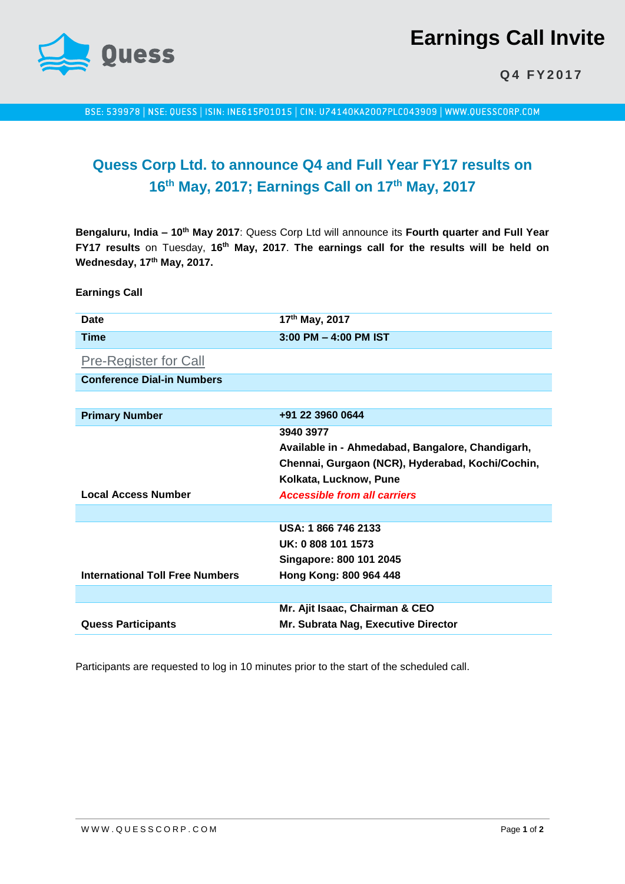

# **Earnings Call Invite**

**Q 4 F Y 2 0 1 7**

BSE: 539978 | NSE: QUESS | ISIN: INE615P01015 | CIN: U74140KA2007PLC043909 | WWW.QUESSCORP.COM

## **Quess Corp Ltd. to announce Q4 and Full Year FY17 results on 16 th May, 2017; Earnings Call on 17th May, 2017**

**Bengaluru, India – 10th May 2017**: Quess Corp Ltd will announce its **Fourth quarter and Full Year FY17 results** on Tuesday, **16th May, 2017**. **The earnings call for the results will be held on Wednesday, 17th May, 2017.** 

**Earnings Call**

| Date                                                | 17 <sup>th</sup> May, 2017 |
|-----------------------------------------------------|----------------------------|
| Time                                                | $3:00$ PM $-$ 4:00 PM IST  |
| $\sim$<br>$\sim$ $\sim$ $\sim$ $\sim$ $\sim$ $\sim$ |                            |

[Pre-Register for Call](http://services.choruscall.in/diamondpass/registration?confirmationNumber=2505136)

**Conference Dial-in Numbers**

| <b>Primary Number</b>                  | +91 22 3960 0644                                 |
|----------------------------------------|--------------------------------------------------|
|                                        | 3940 3977                                        |
|                                        | Available in - Ahmedabad, Bangalore, Chandigarh, |
|                                        | Chennai, Gurgaon (NCR), Hyderabad, Kochi/Cochin, |
|                                        | Kolkata, Lucknow, Pune                           |
| <b>Local Access Number</b>             | <b>Accessible from all carriers</b>              |
|                                        |                                                  |
|                                        | USA: 1866 746 2133                               |
|                                        | UK: 0 808 101 1573                               |
|                                        | Singapore: 800 101 2045                          |
| <b>International Toll Free Numbers</b> | Hong Kong: 800 964 448                           |
|                                        |                                                  |
|                                        | Mr. Ajit Isaac, Chairman & CEO                   |
| <b>Quess Participants</b>              | Mr. Subrata Nag, Executive Director              |

Participants are requested to log in 10 minutes prior to the start of the scheduled call.